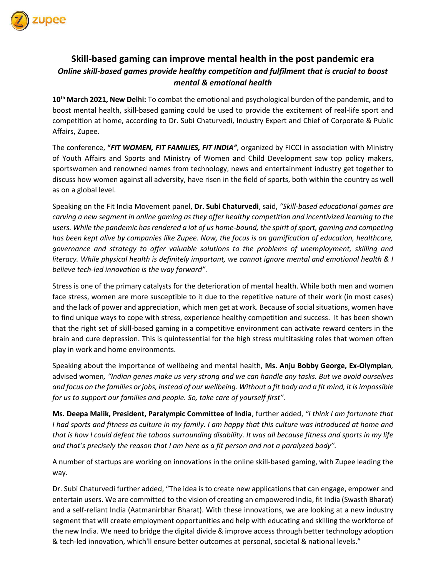

## **Skill-based gaming can improve mental health in the post pandemic era** *Online skill-based games provide healthy competition and fulfilment that is crucial to boost mental & emotional health*

**10th March 2021, New Delhi:** To combat the emotional and psychological burden of the pandemic, and to boost mental health, skill-based gaming could be used to provide the excitement of real-life sport and competition at home, according to Dr. Subi Chaturvedi, Industry Expert and Chief of Corporate & Public Affairs, Zupee.

The conference, **"***FIT WOMEN, FIT FAMILIES, FIT INDIA",* organized by FICCI in association with Ministry of Youth Affairs and Sports and Ministry of Women and Child Development saw top policy makers, sportswomen and renowned names from technology, news and entertainment industry get together to discuss how women against all adversity, have risen in the field of sports, both within the country as well as on a global level.

Speaking on the Fit India Movement panel, **Dr. Subi Chaturvedi**, said, *"Skill-based educational games are carving a new segment in online gaming as they offer healthy competition and incentivized learning to the users. While the pandemic has rendered a lot of us home-bound, the spirit of sport, gaming and competing has been kept alive by companies like Zupee. Now, the focus is on gamification of education, healthcare, governance and strategy to offer valuable solutions to the problems of unemployment, skilling and literacy. While physical health is definitely important, we cannot ignore mental and emotional health & I believe tech-led innovation is the way forward".*

Stress is one of the primary catalysts for the deterioration of mental health. While both men and women face stress, women are more susceptible to it due to the repetitive nature of their work (in most cases) and the lack of power and appreciation, which men get at work. Because of social situations, women have to find unique ways to cope with stress, experience healthy competition and success. It has been shown that the right set of skill-based gaming in a competitive environment can activate reward centers in the brain and cure depression. This is quintessential for the high stress multitasking roles that women often play in work and home environments.

Speaking about the importance of wellbeing and mental health, **Ms. Anju Bobby George, Ex-Olympian***,*  advised women*, "Indian genes make us very strong and we can handle any tasks. But we avoid ourselves and focus on the families or jobs, instead of our wellbeing. Without a fit body and a fit mind, it is impossible for us to support our families and people. So, take care of yourself first".*

**Ms. Deepa Malik, President, Paralympic Committee of India**, further added, *"I think I am fortunate that I had sports and fitness as culture in my family. I am happy that this culture was introduced at home and that is how I could defeat the taboos surrounding disability. It was all because fitness and sports in my life and that's precisely the reason that I am here as a fit person and not a paralyzed body".* 

A number of startups are working on innovations in the online skill-based gaming, with Zupee leading the way.

Dr. Subi Chaturvedi further added, "The idea is to create new applications that can engage, empower and entertain users. We are committed to the vision of creating an empowered India, fit India (Swasth Bharat) and a self-reliant India (Aatmanirbhar Bharat). With these innovations, we are looking at a new industry segment that will create employment opportunities and help with educating and skilling the workforce of the new India. We need to bridge the digital divide & improve access through better technology adoption & tech-led innovation, which'll ensure better outcomes at personal, societal & national levels."